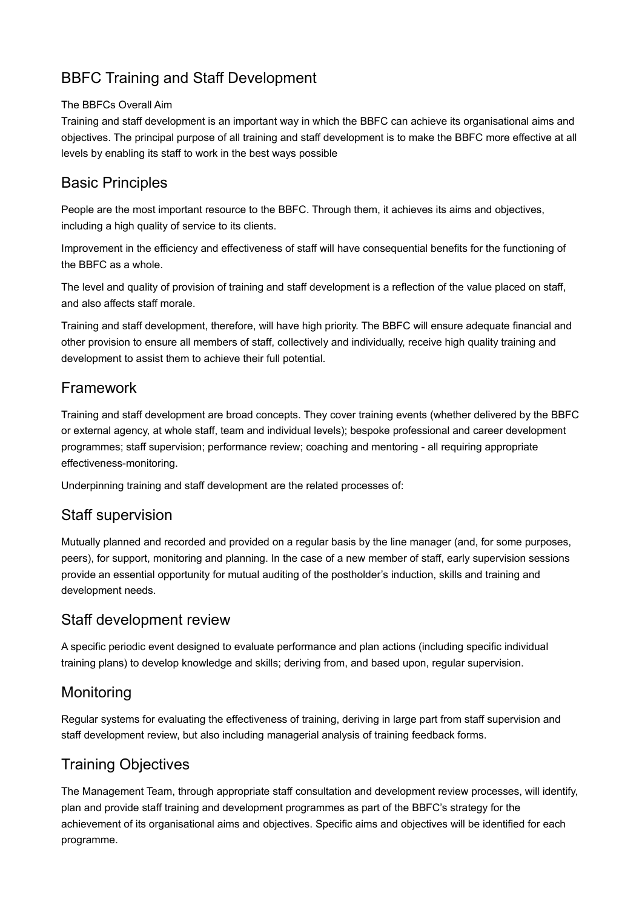# BBFC Training and Staff Development

#### The BBFCs Overall Aim

Training and staff development is an important way in which the BBFC can achieve its organisational aims and objectives. The principal purpose of all training and staff development is to make the BBFC more effective at all levels by enabling its staff to work in the best ways possible

#### Basic Principles

People are the most important resource to the BBFC. Through them, it achieves its aims and objectives, including a high quality of service to its clients.

Improvement in the efficiency and effectiveness of staff will have consequential benefits for the functioning of the BBFC as a whole.

The level and quality of provision of training and staff development is a reflection of the value placed on staff, and also affects staff morale.

Training and staff development, therefore, will have high priority. The BBFC will ensure adequate financial and other provision to ensure all members of staff, collectively and individually, receive high quality training and development to assist them to achieve their full potential.

## Framework

Training and staff development are broad concepts. They cover training events (whether delivered by the BBFC or external agency, at whole staff, team and individual levels); bespoke professional and career development programmes; staff supervision; performance review; coaching and mentoring - all requiring appropriate effectiveness-monitoring.

Underpinning training and staff development are the related processes of:

## Staff supervision

Mutually planned and recorded and provided on a regular basis by the line manager (and, for some purposes, peers), for support, monitoring and planning. In the case of a new member of staff, early supervision sessions provide an essential opportunity for mutual auditing of the postholder's induction, skills and training and development needs.

## Staff development review

A specific periodic event designed to evaluate performance and plan actions (including specific individual training plans) to develop knowledge and skills; deriving from, and based upon, regular supervision.

## **Monitoring**

Regular systems for evaluating the effectiveness of training, deriving in large part from staff supervision and staff development review, but also including managerial analysis of training feedback forms.

## Training Objectives

The Management Team, through appropriate staff consultation and development review processes, will identify, plan and provide staff training and development programmes as part of the BBFC's strategy for the achievement of its organisational aims and objectives. Specific aims and objectives will be identified for each programme.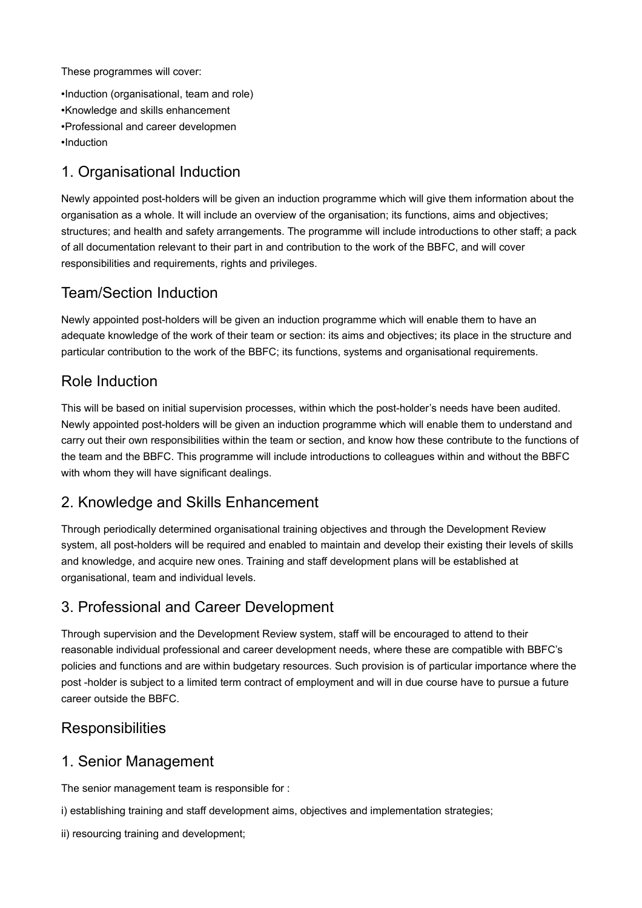These programmes will cover:

•Induction (organisational, team and role) •Knowledge and skills enhancement •Professional and career developmen •Induction

## 1. Organisational Induction

Newly appointed post-holders will be given an induction programme which will give them information about the organisation as a whole. It will include an overview of the organisation; its functions, aims and objectives; structures; and health and safety arrangements. The programme will include introductions to other staff; a pack of all documentation relevant to their part in and contribution to the work of the BBFC, and will cover responsibilities and requirements, rights and privileges.

## Team/Section Induction

Newly appointed post-holders will be given an induction programme which will enable them to have an adequate knowledge of the work of their team or section: its aims and objectives; its place in the structure and particular contribution to the work of the BBFC; its functions, systems and organisational requirements.

## Role Induction

This will be based on initial supervision processes, within which the post-holder's needs have been audited. Newly appointed post-holders will be given an induction programme which will enable them to understand and carry out their own responsibilities within the team or section, and know how these contribute to the functions of the team and the BBFC. This programme will include introductions to colleagues within and without the BBFC with whom they will have significant dealings.

## 2. Knowledge and Skills Enhancement

Through periodically determined organisational training objectives and through the Development Review system, all post-holders will be required and enabled to maintain and develop their existing their levels of skills and knowledge, and acquire new ones. Training and staff development plans will be established at organisational, team and individual levels.

## 3. Professional and Career Development

Through supervision and the Development Review system, staff will be encouraged to attend to their reasonable individual professional and career development needs, where these are compatible with BBFC's policies and functions and are within budgetary resources. Such provision is of particular importance where the post -holder is subject to a limited term contract of employment and will in due course have to pursue a future career outside the BBFC.

## **Responsibilities**

#### 1. Senior Management

The senior management team is responsible for :

i) establishing training and staff development aims, objectives and implementation strategies;

ii) resourcing training and development;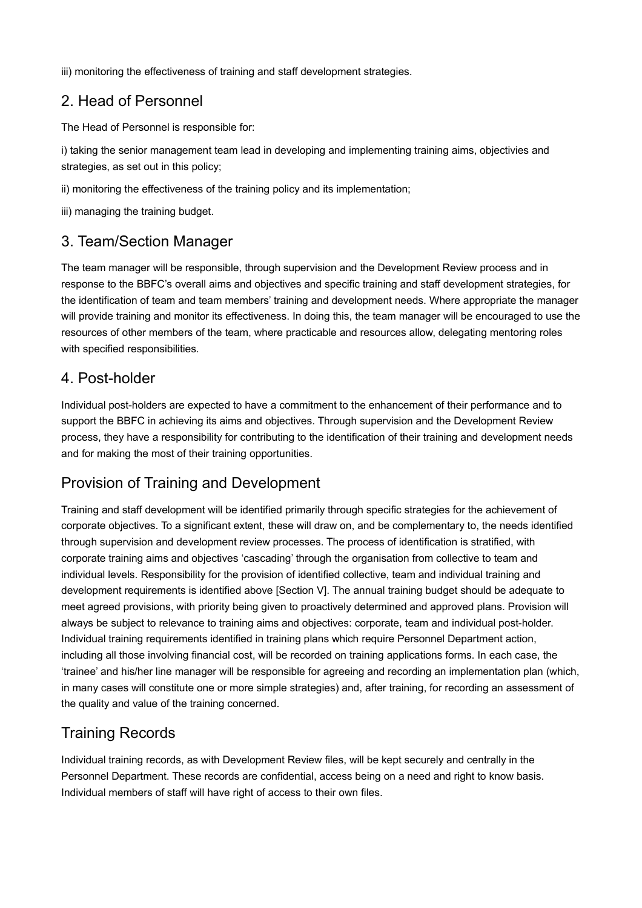iii) monitoring the effectiveness of training and staff development strategies.

## 2. Head of Personnel

The Head of Personnel is responsible for:

i) taking the senior management team lead in developing and implementing training aims, objectivies and strategies, as set out in this policy;

ii) monitoring the effectiveness of the training policy and its implementation;

iii) managing the training budget.

#### 3. Team/Section Manager

The team manager will be responsible, through supervision and the Development Review process and in response to the BBFC's overall aims and objectives and specific training and staff development strategies, for the identification of team and team members' training and development needs. Where appropriate the manager will provide training and monitor its effectiveness. In doing this, the team manager will be encouraged to use the resources of other members of the team, where practicable and resources allow, delegating mentoring roles with specified responsibilities.

#### 4. Post-holder

Individual post-holders are expected to have a commitment to the enhancement of their performance and to support the BBFC in achieving its aims and objectives. Through supervision and the Development Review process, they have a responsibility for contributing to the identification of their training and development needs and for making the most of their training opportunities.

## Provision of Training and Development

Training and staff development will be identified primarily through specific strategies for the achievement of corporate objectives. To a significant extent, these will draw on, and be complementary to, the needs identified through supervision and development review processes. The process of identification is stratified, with corporate training aims and objectives 'cascading' through the organisation from collective to team and individual levels. Responsibility for the provision of identified collective, team and individual training and development requirements is identified above [Section V]. The annual training budget should be adequate to meet agreed provisions, with priority being given to proactively determined and approved plans. Provision will always be subject to relevance to training aims and objectives: corporate, team and individual post-holder. Individual training requirements identified in training plans which require Personnel Department action, including all those involving financial cost, will be recorded on training applications forms. In each case, the 'trainee' and his/her line manager will be responsible for agreeing and recording an implementation plan (which, in many cases will constitute one or more simple strategies) and, after training, for recording an assessment of the quality and value of the training concerned.

# Training Records

Individual training records, as with Development Review files, will be kept securely and centrally in the Personnel Department. These records are confidential, access being on a need and right to know basis. Individual members of staff will have right of access to their own files.